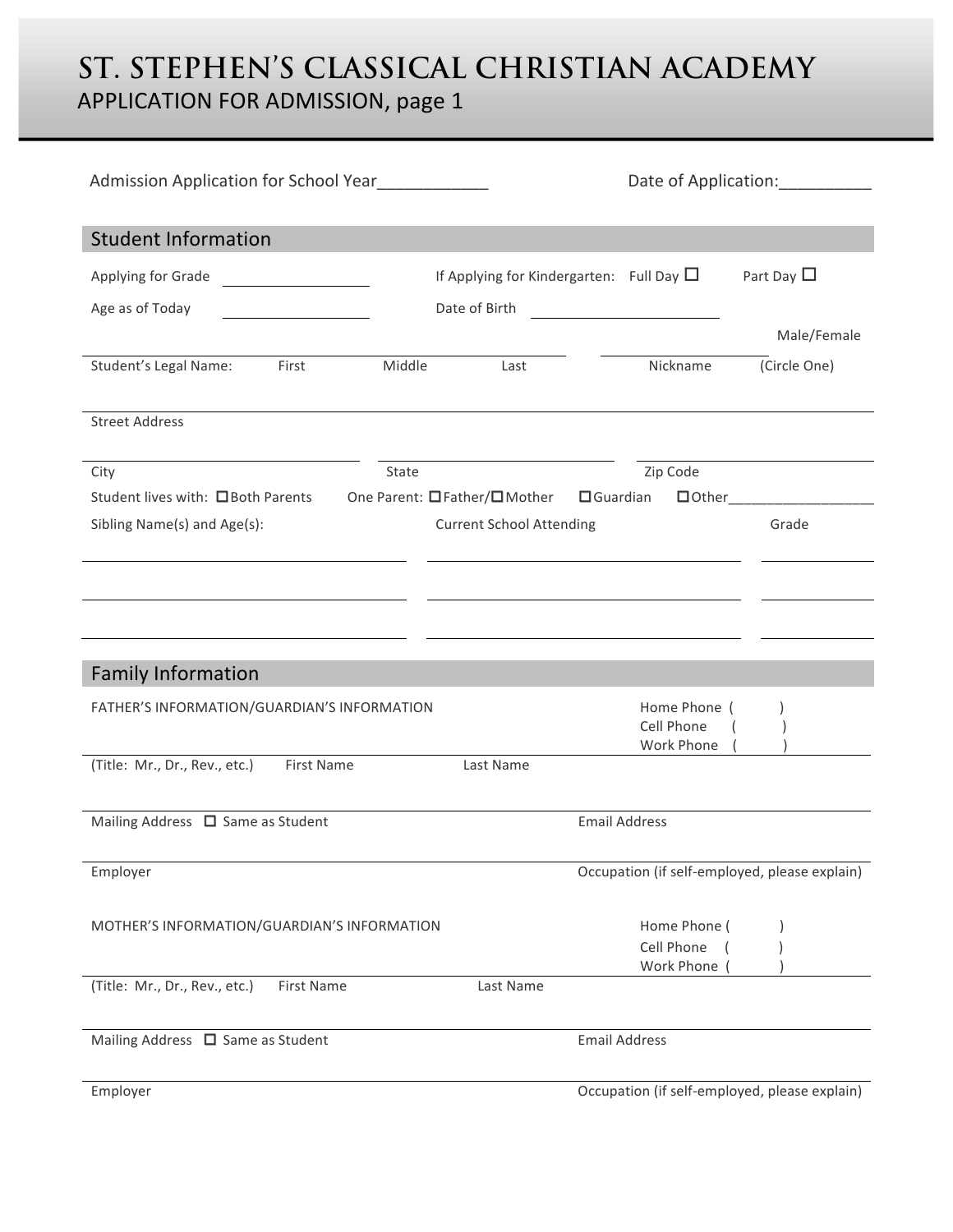## **ST. STEPHEN'S CLASSICAL CHRISTIAN ACADEMY** APPLICATION FOR ADMISSION, page 1

| Admission Application for School Year |                                                                                                                                                                     |                                                                                             | Date of Application: 2001                                                                                                                                                                                                                                                                                                                                                                |  |
|---------------------------------------|---------------------------------------------------------------------------------------------------------------------------------------------------------------------|---------------------------------------------------------------------------------------------|------------------------------------------------------------------------------------------------------------------------------------------------------------------------------------------------------------------------------------------------------------------------------------------------------------------------------------------------------------------------------------------|--|
|                                       |                                                                                                                                                                     |                                                                                             |                                                                                                                                                                                                                                                                                                                                                                                          |  |
|                                       |                                                                                                                                                                     |                                                                                             | Part Day $\Box$                                                                                                                                                                                                                                                                                                                                                                          |  |
|                                       |                                                                                                                                                                     |                                                                                             |                                                                                                                                                                                                                                                                                                                                                                                          |  |
|                                       |                                                                                                                                                                     |                                                                                             | Male/Female                                                                                                                                                                                                                                                                                                                                                                              |  |
| Middle                                | Last                                                                                                                                                                | Nickname                                                                                    | (Circle One)                                                                                                                                                                                                                                                                                                                                                                             |  |
|                                       |                                                                                                                                                                     |                                                                                             |                                                                                                                                                                                                                                                                                                                                                                                          |  |
| State                                 |                                                                                                                                                                     | Zip Code                                                                                    |                                                                                                                                                                                                                                                                                                                                                                                          |  |
|                                       |                                                                                                                                                                     |                                                                                             |                                                                                                                                                                                                                                                                                                                                                                                          |  |
|                                       |                                                                                                                                                                     |                                                                                             | Grade                                                                                                                                                                                                                                                                                                                                                                                    |  |
|                                       |                                                                                                                                                                     |                                                                                             |                                                                                                                                                                                                                                                                                                                                                                                          |  |
|                                       |                                                                                                                                                                     |                                                                                             |                                                                                                                                                                                                                                                                                                                                                                                          |  |
|                                       |                                                                                                                                                                     |                                                                                             |                                                                                                                                                                                                                                                                                                                                                                                          |  |
|                                       |                                                                                                                                                                     |                                                                                             |                                                                                                                                                                                                                                                                                                                                                                                          |  |
|                                       |                                                                                                                                                                     | Cell Phone                                                                                  |                                                                                                                                                                                                                                                                                                                                                                                          |  |
|                                       | Last Name                                                                                                                                                           |                                                                                             |                                                                                                                                                                                                                                                                                                                                                                                          |  |
|                                       |                                                                                                                                                                     |                                                                                             |                                                                                                                                                                                                                                                                                                                                                                                          |  |
|                                       |                                                                                                                                                                     |                                                                                             |                                                                                                                                                                                                                                                                                                                                                                                          |  |
|                                       |                                                                                                                                                                     |                                                                                             |                                                                                                                                                                                                                                                                                                                                                                                          |  |
|                                       |                                                                                                                                                                     |                                                                                             |                                                                                                                                                                                                                                                                                                                                                                                          |  |
|                                       |                                                                                                                                                                     | Cell Phone                                                                                  |                                                                                                                                                                                                                                                                                                                                                                                          |  |
|                                       | Last Name                                                                                                                                                           |                                                                                             |                                                                                                                                                                                                                                                                                                                                                                                          |  |
|                                       |                                                                                                                                                                     |                                                                                             |                                                                                                                                                                                                                                                                                                                                                                                          |  |
|                                       | <u> 1989 - Jan Stein Stein Stein Stein Stein Stein Stein Stein Stein Stein Stein Stein Stein Stein Stein Stein S</u><br>FATHER'S INFORMATION/GUARDIAN'S INFORMATION | Date of Birth<br>One Parent: □Father/□Mother<br>MOTHER'S INFORMATION/GUARDIAN'S INFORMATION | If Applying for Kindergarten: Full Day $\Box$<br><u> 1989 - Jan Stein Stein Stein Stein Stein Stein Stein Stein Stein Stein Stein Stein Stein Stein Stein Stein S</u><br>$\Box$ Guardian<br><b>Current School Attending</b><br>Home Phone (<br>Work Phone<br><b>Email Address</b><br>Occupation (if self-employed, please explain)<br>Home Phone (<br>Work Phone<br><b>Email Address</b> |  |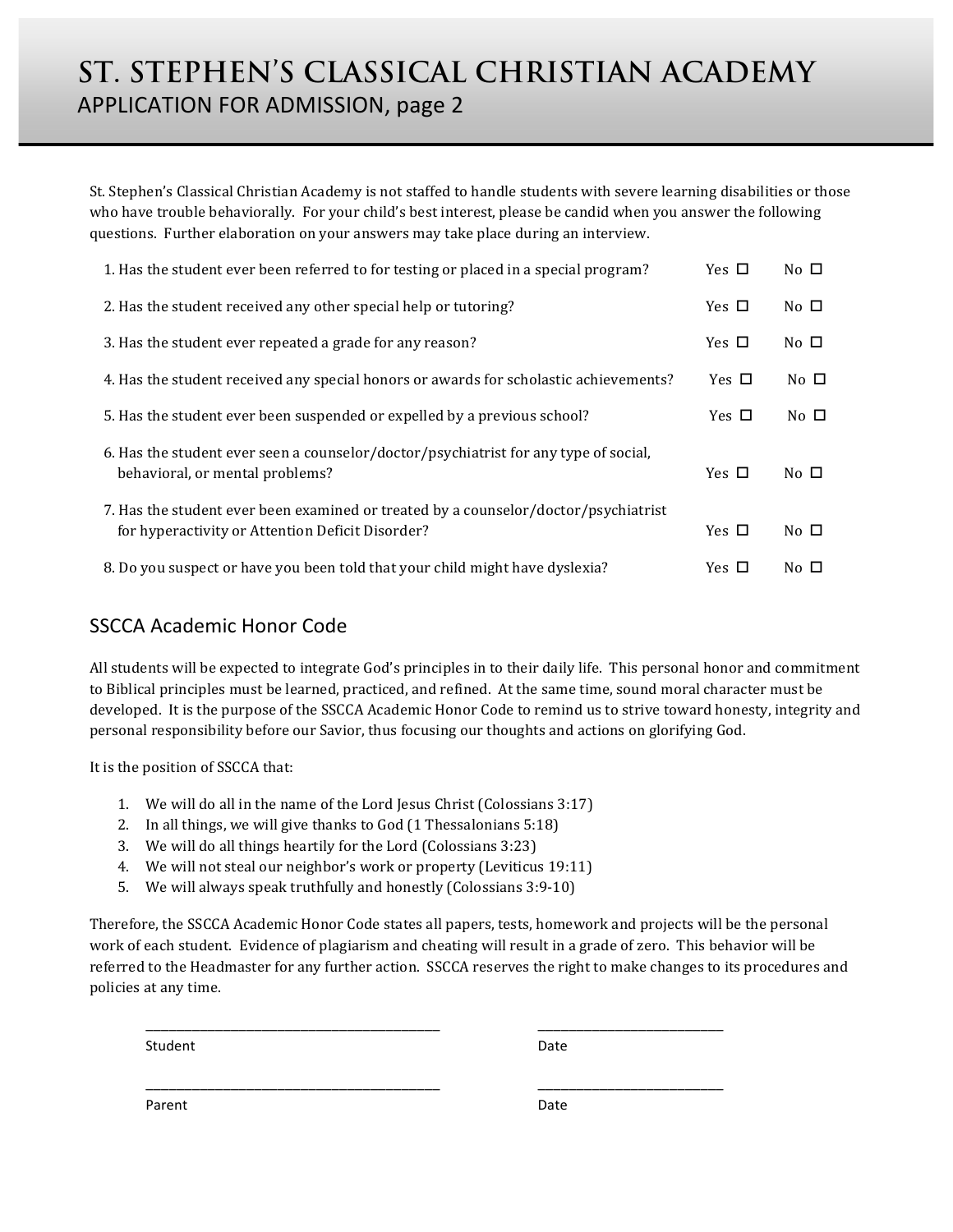# **ST. STEPHEN'S CLASSICAL CHRISTIAN ACADEMY** APPLICATION FOR ADMISSION, page 2

St. Stephen's Classical Christian Academy is not staffed to handle students with severe learning disabilities or those who have trouble behaviorally. For your child's best interest, please be candid when you answer the following questions. Further elaboration on your answers may take place during an interview.

| 1. Has the student ever been referred to for testing or placed in a special program?                                                    | Yes $\Box$ | No $\Box$ |
|-----------------------------------------------------------------------------------------------------------------------------------------|------------|-----------|
| 2. Has the student received any other special help or tutoring?                                                                         | Yes $\Box$ | No $\Box$ |
| 3. Has the student ever repeated a grade for any reason?                                                                                | Yes $\Box$ | No $\Box$ |
| 4. Has the student received any special honors or awards for scholastic achievements?                                                   | Yes $\Box$ | No $\Box$ |
| 5. Has the student ever been suspended or expelled by a previous school?                                                                | Yes $\Box$ | No $\Box$ |
| 6. Has the student ever seen a counselor/doctor/psychiatrist for any type of social,<br>behavioral, or mental problems?                 | Yes $\Box$ | No $\Box$ |
| 7. Has the student ever been examined or treated by a counselor/doctor/psychiatrist<br>for hyperactivity or Attention Deficit Disorder? | Yes $\Box$ | No $\Box$ |
| 8. Do you suspect or have you been told that your child might have dyslexia?                                                            | Yes $\Box$ | No $\Box$ |

### SSCCA Academic Honor Code

All students will be expected to integrate God's principles in to their daily life. This personal honor and commitment to Biblical principles must be learned, practiced, and refined. At the same time, sound moral character must be developed. It is the purpose of the SSCCA Academic Honor Code to remind us to strive toward honesty, integrity and personal responsibility before our Savior, thus focusing our thoughts and actions on glorifying God.

It is the position of SSCCA that:

- 1. We will do all in the name of the Lord Jesus Christ (Colossians 3:17)
- 2. In all things, we will give thanks to God (1 Thessalonians 5:18)
- 3. We will do all things heartily for the Lord (Colossians 3:23)
- 4. We will not steal our neighbor's work or property (Leviticus 19:11)
- 5. We will always speak truthfully and honestly (Colossians 3:9-10)

Therefore, the SSCCA Academic Honor Code states all papers, tests, homework and projects will be the personal work of each student. Evidence of plagiarism and cheating will result in a grade of zero. This behavior will be referred to the Headmaster for any further action. SSCCA reserves the right to make changes to its procedures and policies at any time.

\_\_\_\_\_\_\_\_\_\_\_\_\_\_\_\_\_\_\_\_\_\_\_\_\_\_\_\_\_\_\_\_\_\_\_\_\_\_ \_\_\_\_\_\_\_\_\_\_\_\_\_\_\_\_\_\_\_\_\_\_\_\_ 

\_\_\_\_\_\_\_\_\_\_\_\_\_\_\_\_\_\_\_\_\_\_\_\_\_\_\_\_\_\_\_\_\_\_\_\_\_\_ \_\_\_\_\_\_\_\_\_\_\_\_\_\_\_\_\_\_\_\_\_\_\_\_

Student Date **Date** 

Parent Date and Date Date of the Date of the Date of the Date of the Date of the Date of the Date of the Date